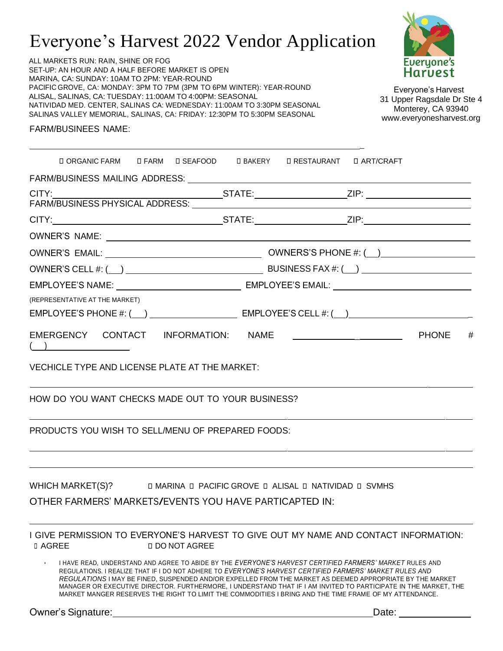# Everyone's Harvest 2022 Vendor Application

yone's Harvest

Everyone's Harvest 31 Upper Ragsdale Dr Ste 4 Monterey, CA 93940 [www.everyonesharvest.org](http://www.everyonesharvest.org/)

ALL MARKETS RUN: RAIN, SHINE OR FOG SET-UP: AN HOUR AND A HALF BEFORE MARKET IS OPEN MARINA, CA: SUNDAY: 10AM TO 2PM: YEAR-ROUND PACIFIC GROVE, CA: MONDAY: 3PM TO 7PM (3PM TO 6PM WINTER): YEAR-ROUND ALISAL, SALINAS, CA: TUESDAY: 11:00AM TO 4:00PM: SEASONAL NATIVIDAD MED. CENTER, SALINAS CA: WEDNESDAY: 11:00AM TO 3:30PM SEASONAL SALINAS VALLEY MEMORIAL, SALINAS, CA: FRIDAY: 12:30PM TO 5:30PM SEASONAL

FARM/BUSINEES NAME:

| <b>DORGANIC FARM DEARM DISEAFOOD DBAKERY DRESTAURANT DART/CRAFT</b>                                                              |  |  |  |  |
|----------------------------------------------------------------------------------------------------------------------------------|--|--|--|--|
| FARM/BUSINESS MAILING ADDRESS: University of the SARM/BUSINESS MAILING ADDRESS:                                                  |  |  |  |  |
|                                                                                                                                  |  |  |  |  |
|                                                                                                                                  |  |  |  |  |
|                                                                                                                                  |  |  |  |  |
|                                                                                                                                  |  |  |  |  |
|                                                                                                                                  |  |  |  |  |
|                                                                                                                                  |  |  |  |  |
|                                                                                                                                  |  |  |  |  |
| (REPRESENTATIVE AT THE MARKET)                                                                                                   |  |  |  |  |
|                                                                                                                                  |  |  |  |  |
| EMERGENCY CONTACT INFORMATION: NAME<br>$\overline{\phantom{a}}$                                                                  |  |  |  |  |
| <b>VECHICLE TYPE AND LICENSE PLATE AT THE MARKET:</b>                                                                            |  |  |  |  |
| HOW DO YOU WANT CHECKS MADE OUT TO YOUR BUSINESS?                                                                                |  |  |  |  |
| PRODUCTS YOU WISH TO SELL/MENU OF PREPARED FOODS:                                                                                |  |  |  |  |
| WHICH MARKET(S)? D MARINA D PACIFIC GROVE D ALISAL D NATIVIDAD D SVMHS<br>OTHER FARMERS' MARKETS/EVENTS YOU HAVE PARTICAPTED IN: |  |  |  |  |
|                                                                                                                                  |  |  |  |  |
| I GIVE PERMISSION TO EVERYONE'S HARVEST TO GIVE OUT MY NAME AND CONTACT INFORMATION:<br><b>□ AGREE</b><br><b>DO NOT AGREE</b>    |  |  |  |  |
| I HAVE READ, UNDERSTAND AND AGREE TO ARIDE BY THE <i>EVERYONE'S HARVEST CERTIFIED FARMERS' MARKET</i> RULES AND LARGER           |  |  |  |  |

• I HAVE READ, UNDERSTAND AND AGREE TO ABIDE BY THE *EVERYONE'S HARVEST CERTIFIED FARMERS' MARKET* RULES AND REGULATIONS. I REALIZE THAT IF I DO NOT ADHERE TO *EVERYONE'S HARVEST CERTIFIED FARMERS' MARKET RULES AND REGULATIONS* I MAY BE FINED, SUSPENDED AND/OR EXPELLED FROM THE MARKET AS DEEMED APPROPRIATE BY THE MARKET MANAGER OR EXECUTIVE DIRECTOR. FURTHERMORE, I UNDERSTAND THAT IF I AM INVITED TO PARTICIPATE IN THE MARKET, THE MARKET MANGER RESERVES THE RIGHT TO LIMIT THE COMMODITIES I BRING AND THE TIME FRAME OF MY ATTENDANCE.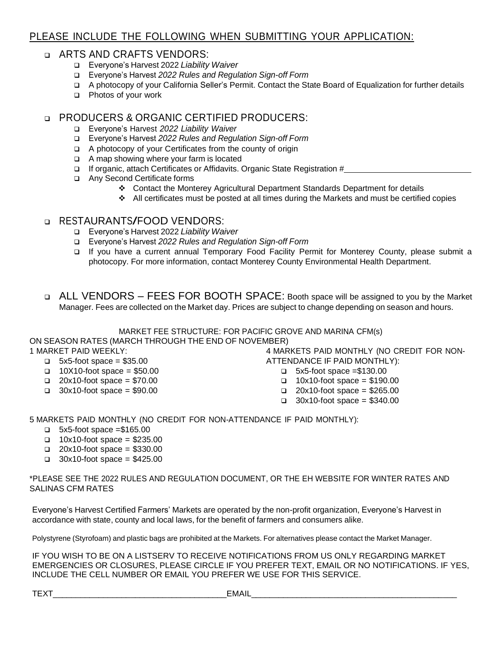## PLEASE INCLUDE THE FOLLOWING WHEN SUBMITTING YOUR APPLICATION:

#### ❑ ARTS AND CRAFTS VENDORS:

- ❑ Everyone's Harvest 2022 *Liability Waiver*
- ❑ Everyone's Harvest *2022 Rules and Regulation Sign-off Form*
- ❑ A photocopy of your California Seller's Permit. Contact the State Board of Equalization for further details
- ❑ Photos of your work

### ❑ PRODUCERS & ORGANIC CERTIFIED PRODUCERS:

- ❑ Everyone's Harvest *2022 Liability Waiver*
- ❑ Everyone's Harvest *2022 Rules and Regulation Sign-off Form*
- ❑ A photocopy of your Certificates from the county of origin
- ❑ A map showing where your farm is located
- ❑ If organic, attach Certificates or Affidavits. Organic State Registration #
- ❑ Any Second Certificate forms
	- ❖ Contact the Monterey Agricultural Department Standards Department for details
	- ❖ All certificates must be posted at all times during the Markets and must be certified copies

#### ❑ RESTAURANTS/FOOD VENDORS:

- ❑ Everyone's Harvest 2022 *Liability Waiver*
- ❑ Everyone's Harvest *2022 Rules and Regulation Sign-off Form*
- ❑ If you have a current annual Temporary Food Facility Permit for Monterey County, please submit a photocopy. For more information, contact Monterey County Environmental Health Department.
- ❑ ALL VENDORS FEES FOR BOOTH SPACE: Booth space will be assigned to you by the Market Manager. Fees are collected on the Market day. Prices are subject to change depending on season and hours.

MARKET FEE STRUCTURE: FOR PACIFIC GROVE AND MARINA CFM(s)

ON SEASON RATES (MARCH THROUGH THE END OF NOVEMBER)

1 MARKET PAID WEEKLY:

- $\Box$  5x5-foot space = \$35.00
- $\Box$  10X10-foot space = \$50.00
- $\Box$  20x10-foot space = \$70.00
- $\Box$  30x10-foot space = \$90.00

4 MARKETS PAID MONTHLY (NO CREDIT FOR NON-ATTENDANCE IF PAID MONTHLY):

- ❑ 5x5-foot space =\$130.00
- ❑ 10x10-foot space = \$190.00
- ❑ 20x10-foot space = \$265.00
- ❑ 30x10-foot space = \$340.00

5 MARKETS PAID MONTHLY (NO CREDIT FOR NON-ATTENDANCE IF PAID MONTHLY):

- ❑ 5x5-foot space =\$165.00
- ❑ 10x10-foot space = \$235.00
- ❑ 20x10-foot space = \$330.00
- ❑ 30x10-foot space = \$425.00

\*PLEASE SEE THE 2022 RULES AND REGULATION DOCUMENT, OR THE EH WEBSITE FOR WINTER RATES AND SALINAS CFM RATES

Everyone's Harvest Certified Farmers' Markets are operated by the non-profit organization, Everyone's Harvest in accordance with state, county and local laws, for the benefit of farmers and consumers alike.

Polystyrene (Styrofoam) and plastic bags are prohibited at the Markets. For alternatives please contact the Market Manager.

IF YOU WISH TO BE ON A LISTSERV TO RECEIVE NOTIFICATIONS FROM US ONLY REGARDING MARKET EMERGENCIES OR CLOSURES, PLEASE CIRCLE IF YOU PREFER TEXT, EMAIL OR NO NOTIFICATIONS. IF YES, INCLUDE THE CELL NUMBER OR EMAIL YOU PREFER WE USE FOR THIS SERVICE.